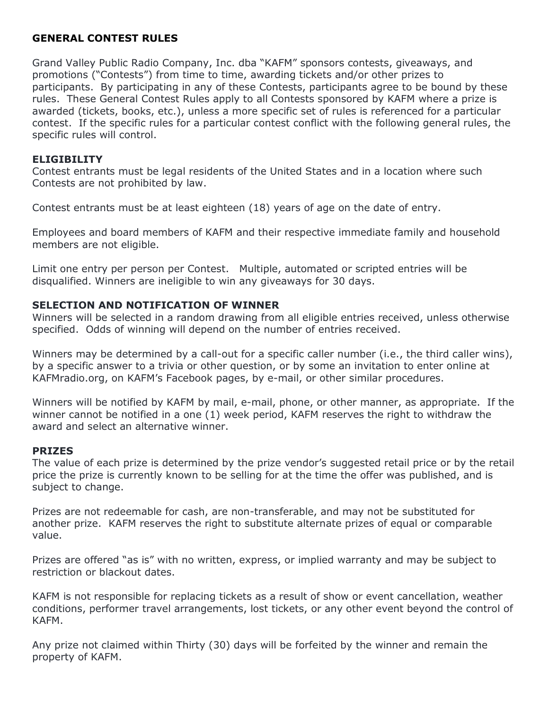# GENERAL CONTEST RULES

Grand Valley Public Radio Company, Inc. dba "KAFM" sponsors contests, giveaways, and promotions ("Contests") from time to time, awarding tickets and/or other prizes to participants. By participating in any of these Contests, participants agree to be bound by these rules. These General Contest Rules apply to all Contests sponsored by KAFM where a prize is awarded (tickets, books, etc.), unless a more specific set of rules is referenced for a particular contest. If the specific rules for a particular contest conflict with the following general rules, the specific rules will control.

#### **ELIGIBILITY**

Contest entrants must be legal residents of the United States and in a location where such Contests are not prohibited by law.

Contest entrants must be at least eighteen (18) years of age on the date of entry.

Employees and board members of KAFM and their respective immediate family and household members are not eligible.

Limit one entry per person per Contest. Multiple, automated or scripted entries will be disqualified. Winners are ineligible to win any giveaways for 30 days.

# SELECTION AND NOTIFICATION OF WINNER

Winners will be selected in a random drawing from all eligible entries received, unless otherwise specified. Odds of winning will depend on the number of entries received.

Winners may be determined by a call-out for a specific caller number (i.e., the third caller wins), by a specific answer to a trivia or other question, or by some an invitation to enter online at KAFMradio.org, on KAFM's Facebook pages, by e-mail, or other similar procedures.

Winners will be notified by KAFM by mail, e-mail, phone, or other manner, as appropriate. If the winner cannot be notified in a one (1) week period, KAFM reserves the right to withdraw the award and select an alternative winner.

# PRIZES

The value of each prize is determined by the prize vendor's suggested retail price or by the retail price the prize is currently known to be selling for at the time the offer was published, and is subject to change.

Prizes are not redeemable for cash, are non-transferable, and may not be substituted for another prize. KAFM reserves the right to substitute alternate prizes of equal or comparable value.

Prizes are offered "as is" with no written, express, or implied warranty and may be subject to restriction or blackout dates.

KAFM is not responsible for replacing tickets as a result of show or event cancellation, weather conditions, performer travel arrangements, lost tickets, or any other event beyond the control of KAFM.

Any prize not claimed within Thirty (30) days will be forfeited by the winner and remain the property of KAFM.